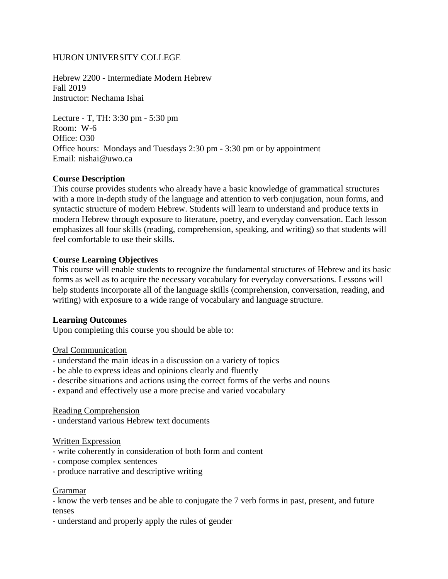## HURON UNIVERSITY COLLEGE

Hebrew 2200 - Intermediate Modern Hebrew Fall 2019 Instructor: Nechama Ishai

Lecture - T, TH: 3:30 pm - 5:30 pm Room: W-6 Office: O30 Office hours: Mondays and Tuesdays 2:30 pm - 3:30 pm or by appointment Email: nishai@uwo.ca

# **Course Description**

This course provides students who already have a basic knowledge of grammatical structures with a more in-depth study of the language and attention to verb conjugation, noun forms, and syntactic structure of modern Hebrew. Students will learn to understand and produce texts in modern Hebrew through exposure to literature, poetry, and everyday conversation. Each lesson emphasizes all four skills (reading, comprehension, speaking, and writing) so that students will feel comfortable to use their skills.

# **Course Learning Objectives**

This course will enable students to recognize the fundamental structures of Hebrew and its basic forms as well as to acquire the necessary vocabulary for everyday conversations. Lessons will help students incorporate all of the language skills (comprehension, conversation, reading, and writing) with exposure to a wide range of vocabulary and language structure.

## **Learning Outcomes**

Upon completing this course you should be able to:

## Oral Communication

- understand the main ideas in a discussion on a variety of topics
- be able to express ideas and opinions clearly and fluently
- describe situations and actions using the correct forms of the verbs and nouns
- expand and effectively use a more precise and varied vocabulary

## Reading Comprehension

- understand various Hebrew text documents

## Written Expression

- write coherently in consideration of both form and content
- compose complex sentences
- produce narrative and descriptive writing

## Grammar

- know the verb tenses and be able to conjugate the 7 verb forms in past, present, and future tenses

- understand and properly apply the rules of gender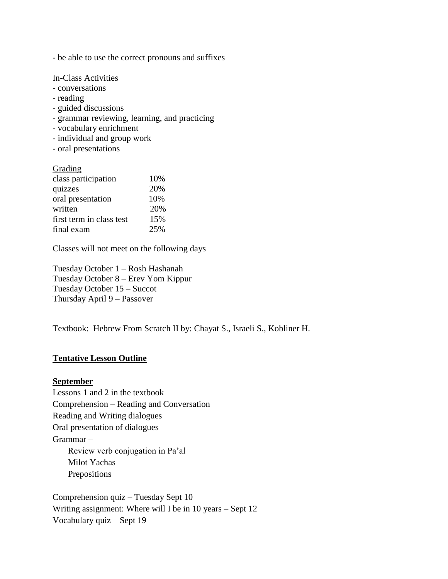- be able to use the correct pronouns and suffixes

### In-Class Activities

- conversations
- reading
- guided discussions
- grammar reviewing, learning, and practicing
- vocabulary enrichment
- individual and group work
- oral presentations

### **Grading**

| class participation      | 10% |
|--------------------------|-----|
| quizzes                  | 20% |
| oral presentation        | 10% |
| written                  | 20% |
| first term in class test | 15% |
| final exam               | 25% |

Classes will not meet on the following days

Tuesday October 1 – Rosh Hashanah Tuesday October 8 – Erev Yom Kippur Tuesday October 15 – Succot Thursday April 9 – Passover

Textbook: Hebrew From Scratch II by: Chayat S., Israeli S., Kobliner H.

## **Tentative Lesson Outline**

#### **September**

Lessons 1 and 2 in the textbook Comprehension – Reading and Conversation Reading and Writing dialogues Oral presentation of dialogues Grammar – Review verb conjugation in Pa'al Milot Yachas Prepositions

Comprehension quiz – Tuesday Sept 10 Writing assignment: Where will I be in 10 years – Sept 12 Vocabulary quiz – Sept 19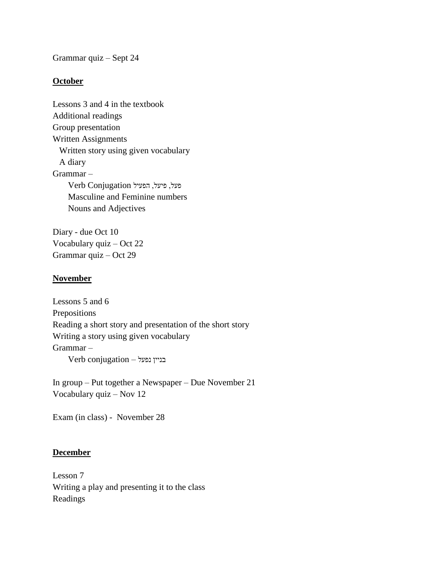Grammar quiz – Sept 24

## **October**

Lessons 3 and 4 in the textbook Additional readings Group presentation Written Assignments Written story using given vocabulary A diary Grammar – פעל, פיעל, הפעיל Conjugation Verb Masculine and Feminine numbers Nouns and Adjectives

Diary - due Oct 10 Vocabulary quiz – Oct 22 Grammar quiz – Oct 29

## **November**

Lessons 5 and 6 Prepositions Reading a short story and presentation of the short story Writing a story using given vocabulary Grammar – בניין נפעל – conjugation Verb

In group – Put together a Newspaper – Due November 21 Vocabulary quiz – Nov 12

Exam (in class) - November 28

## **December**

Lesson 7 Writing a play and presenting it to the class Readings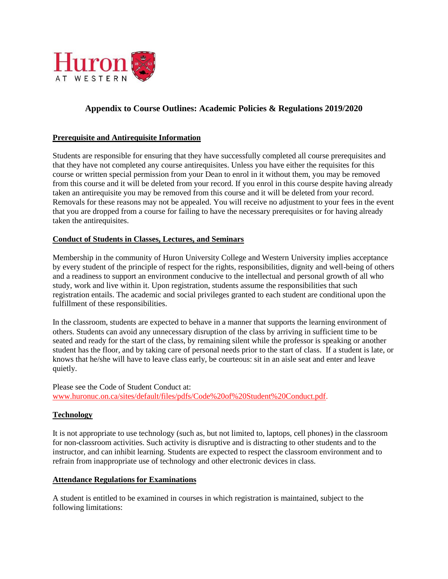

# **Appendix to Course Outlines: Academic Policies & Regulations 2019/2020**

#### **Prerequisite and Antirequisite Information**

Students are responsible for ensuring that they have successfully completed all course prerequisites and that they have not completed any course antirequisites. Unless you have either the requisites for this course or written special permission from your Dean to enrol in it without them, you may be removed from this course and it will be deleted from your record. If you enrol in this course despite having already taken an antirequisite you may be removed from this course and it will be deleted from your record. Removals for these reasons may not be appealed. You will receive no adjustment to your fees in the event that you are dropped from a course for failing to have the necessary prerequisites or for having already taken the antirequisites.

### **Conduct of Students in Classes, Lectures, and Seminars**

Membership in the community of Huron University College and Western University implies acceptance by every student of the principle of respect for the rights, responsibilities, dignity and well-being of others and a readiness to support an environment conducive to the intellectual and personal growth of all who study, work and live within it. Upon registration, students assume the responsibilities that such registration entails. The academic and social privileges granted to each student are conditional upon the fulfillment of these responsibilities.

In the classroom, students are expected to behave in a manner that supports the learning environment of others. Students can avoid any unnecessary disruption of the class by arriving in sufficient time to be seated and ready for the start of the class, by remaining silent while the professor is speaking or another student has the floor, and by taking care of personal needs prior to the start of class. If a student is late, or knows that he/she will have to leave class early, be courteous: sit in an aisle seat and enter and leave quietly.

Please see the Code of Student Conduct at: [www.huronuc.on.ca/sites/default/files/pdfs/Code%20of%20Student%20Conduct.pdf.](http://www.huronuc.on.ca/sites/default/files/pdfs/Code%20of%20Student%20Conduct.pdf)

#### **Technology**

It is not appropriate to use technology (such as, but not limited to, laptops, cell phones) in the classroom for non-classroom activities. Such activity is disruptive and is distracting to other students and to the instructor, and can inhibit learning. Students are expected to respect the classroom environment and to refrain from inappropriate use of technology and other electronic devices in class.

#### **Attendance Regulations for Examinations**

A student is entitled to be examined in courses in which registration is maintained, subject to the following limitations: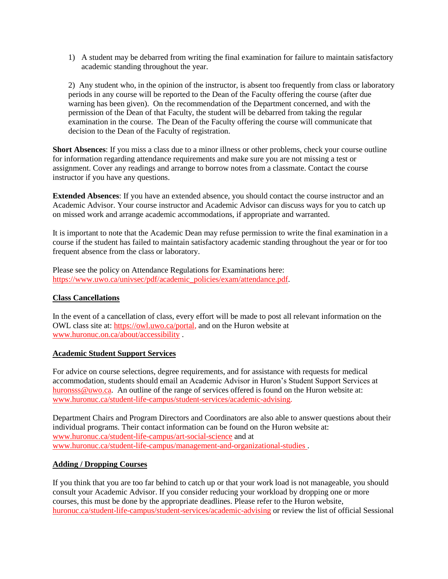1) A student may be debarred from writing the final examination for failure to maintain satisfactory academic standing throughout the year.

2) Any student who, in the opinion of the instructor, is absent too frequently from class or laboratory periods in any course will be reported to the Dean of the Faculty offering the course (after due warning has been given). On the recommendation of the Department concerned, and with the permission of the Dean of that Faculty, the student will be debarred from taking the regular examination in the course. The Dean of the Faculty offering the course will communicate that decision to the Dean of the Faculty of registration.

**Short Absences**: If you miss a class due to a minor illness or other problems, check your course outline for information regarding attendance requirements and make sure you are not missing a test or assignment. Cover any readings and arrange to borrow notes from a classmate. Contact the course instructor if you have any questions.

**Extended Absences**: If you have an extended absence, you should contact the course instructor and an Academic Advisor. Your course instructor and Academic Advisor can discuss ways for you to catch up on missed work and arrange academic accommodations, if appropriate and warranted.

It is important to note that the Academic Dean may refuse permission to write the final examination in a course if the student has failed to maintain satisfactory academic standing throughout the year or for too frequent absence from the class or laboratory.

Please see the policy on Attendance Regulations for Examinations here: [https://www.uwo.ca/univsec/pdf/academic\\_policies/exam/attendance.pdf.](https://www.uwo.ca/univsec/pdf/academic_policies/exam/attendance.pdf)

#### **Class Cancellations**

In the event of a cancellation of class, every effort will be made to post all relevant information on the OWL class site at: [https://owl.uwo.ca/portal,](https://owl.uwo.ca/portal) and on the Huron website at [www.huronuc.on.ca/about/accessibility](http://www.huronuc.on.ca/about/accessibility) .

#### **Academic Student Support Services**

For advice on course selections, degree requirements, and for assistance with requests for medical accommodation, students should email an Academic Advisor in Huron's Student Support Services at [huronsss@uwo.ca.](mailto:huronsss@uwo.ca) An outline of the range of services offered is found on the Huron website at: [www.huronuc.ca/student-life-campus/student-services/academic-advising.](http://www.huronuc.ca/student-life-campus/student-services/academic-advising)

Department Chairs and Program Directors and Coordinators are also able to answer questions about their individual programs. Their contact information can be found on the Huron website at: [www.huronuc.ca/student-life-campus/art-social-science](http://www.huronuc.ca/student-life-campus/art-social-science) and at [www.huronuc.ca/student-life-campus/management-and-organizational-studies](http://www.huronuc.ca/student-life-campus/management-and-organizational-studies) .

#### **Adding / Dropping Courses**

If you think that you are too far behind to catch up or that your work load is not manageable, you should consult your Academic Advisor. If you consider reducing your workload by dropping one or more courses, this must be done by the appropriate deadlines. Please refer to the Huron website, [huronuc.ca/student-life-campus/student-services/academic-advising](https://huronuc.ca/student-life-campus/student-services/academic-advising) or review the list of official Sessional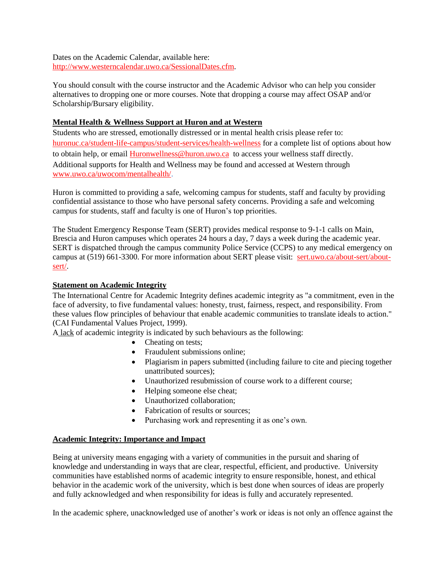Dates on the Academic Calendar, available here: [http://www.westerncalendar.uwo.ca/SessionalDates.cfm.](http://www.westerncalendar.uwo.ca/SessionalDates.cfm)

You should consult with the course instructor and the Academic Advisor who can help you consider alternatives to dropping one or more courses. Note that dropping a course may affect OSAP and/or Scholarship/Bursary eligibility.

## **Mental Health & Wellness Support at Huron and at Western**

Students who are stressed, emotionally distressed or in mental health crisis please refer to: [huronuc.ca/student-life-campus/student-services/health-wellness](https://huronuc.ca/student-life-campus/student-services/health-wellness) for a complete list of options about how to obtain help, or email [Huronwellness@huron.uwo.ca](mailto:Huronwellness@huron.uwo.ca) to access your wellness staff directly. Additional supports for Health and Wellness may be found and accessed at Western through [www.uwo.ca/uwocom/mentalhealth/.](http://www.uwo.ca/uwocom/mentalhealth/)

Huron is committed to providing a safe, welcoming campus for students, staff and faculty by providing confidential assistance to those who have personal safety concerns. Providing a safe and welcoming campus for students, staff and faculty is one of Huron's top priorities.

The Student Emergency Response Team (SERT) provides medical response to 9-1-1 calls on Main, Brescia and Huron campuses which operates 24 hours a day, 7 days a week during the academic year. SERT is dispatched through the campus community Police Service (CCPS) to any medical emergency on campus at (519) 661-3300. For more information about SERT please visit: [sert.uwo.ca/about-sert/about](https://sert.uwo.ca/about-sert/about-sert/)[sert/.](https://sert.uwo.ca/about-sert/about-sert/)

### **Statement on Academic Integrity**

The International Centre for Academic Integrity defines academic integrity as "a commitment, even in the face of adversity, to five fundamental values: honesty, trust, fairness, respect, and responsibility. From these values flow principles of behaviour that enable academic communities to translate ideals to action." (CAI Fundamental Values Project, 1999).

A lack of academic integrity is indicated by such behaviours as the following:

- Cheating on tests;
- Fraudulent submissions online;
- Plagiarism in papers submitted (including failure to cite and piecing together unattributed sources);
- Unauthorized resubmission of course work to a different course;
- Helping someone else cheat;
- Unauthorized collaboration;
- Fabrication of results or sources;
- Purchasing work and representing it as one's own.

#### **Academic Integrity: Importance and Impact**

Being at university means engaging with a variety of communities in the pursuit and sharing of knowledge and understanding in ways that are clear, respectful, efficient, and productive. University communities have established norms of academic integrity to ensure responsible, honest, and ethical behavior in the academic work of the university, which is best done when sources of ideas are properly and fully acknowledged and when responsibility for ideas is fully and accurately represented.

In the academic sphere, unacknowledged use of another's work or ideas is not only an offence against the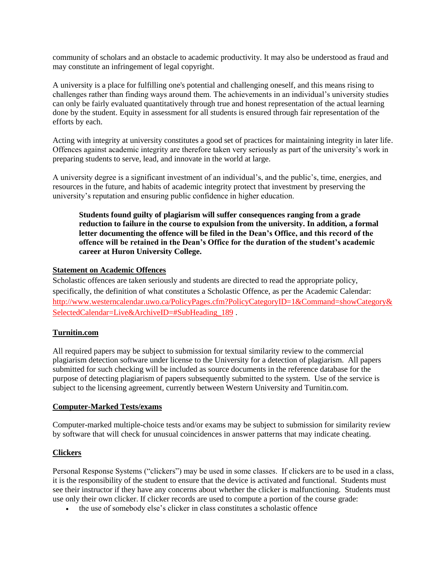community of scholars and an obstacle to academic productivity. It may also be understood as fraud and may constitute an infringement of legal copyright.

A university is a place for fulfilling one's potential and challenging oneself, and this means rising to challenges rather than finding ways around them. The achievements in an individual's university studies can only be fairly evaluated quantitatively through true and honest representation of the actual learning done by the student. Equity in assessment for all students is ensured through fair representation of the efforts by each.

Acting with integrity at university constitutes a good set of practices for maintaining integrity in later life. Offences against academic integrity are therefore taken very seriously as part of the university's work in preparing students to serve, lead, and innovate in the world at large.

A university degree is a significant investment of an individual's, and the public's, time, energies, and resources in the future, and habits of academic integrity protect that investment by preserving the university's reputation and ensuring public confidence in higher education.

**Students found guilty of plagiarism will suffer consequences ranging from a grade reduction to failure in the course to expulsion from the university. In addition, a formal letter documenting the offence will be filed in the Dean's Office, and this record of the offence will be retained in the Dean's Office for the duration of the student's academic career at Huron University College.**

#### **Statement on Academic Offences**

Scholastic offences are taken seriously and students are directed to read the appropriate policy, specifically, the definition of what constitutes a Scholastic Offence, as per the Academic Calendar: [http://www.westerncalendar.uwo.ca/PolicyPages.cfm?PolicyCategoryID=1&Command=showCategory&](http://www.westerncalendar.uwo.ca/PolicyPages.cfm?PolicyCategoryID=1&Command=showCategory&SelectedCalendar=Live&ArchiveID=#SubHeading_189) [SelectedCalendar=Live&ArchiveID=#SubHeading\\_189](http://www.westerncalendar.uwo.ca/PolicyPages.cfm?PolicyCategoryID=1&Command=showCategory&SelectedCalendar=Live&ArchiveID=#SubHeading_189) .

#### **Turnitin.com**

All required papers may be subject to submission for textual similarity review to the commercial plagiarism detection software under license to the University for a detection of plagiarism. All papers submitted for such checking will be included as source documents in the reference database for the purpose of detecting plagiarism of papers subsequently submitted to the system. Use of the service is subject to the licensing agreement, currently between Western University and Turnitin.com.

#### **Computer-Marked Tests/exams**

Computer-marked multiple-choice tests and/or exams may be subject to submission for similarity review by software that will check for unusual coincidences in answer patterns that may indicate cheating.

#### **Clickers**

Personal Response Systems ("clickers") may be used in some classes. If clickers are to be used in a class, it is the responsibility of the student to ensure that the device is activated and functional. Students must see their instructor if they have any concerns about whether the clicker is malfunctioning. Students must use only their own clicker. If clicker records are used to compute a portion of the course grade:

the use of somebody else's clicker in class constitutes a scholastic offence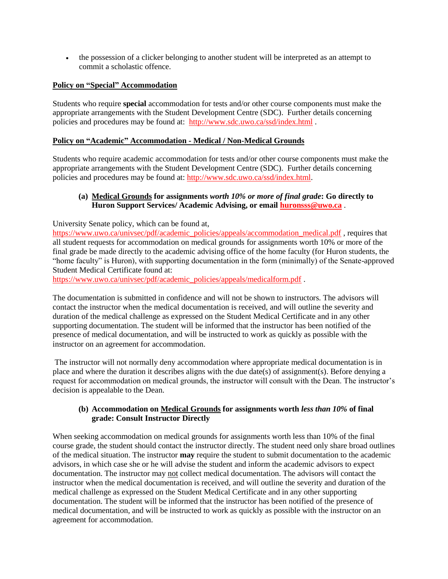the possession of a clicker belonging to another student will be interpreted as an attempt to commit a scholastic offence.

### **Policy on "Special" Accommodation**

Students who require **special** accommodation for tests and/or other course components must make the appropriate arrangements with the Student Development Centre (SDC). Further details concerning policies and procedures may be found at: <http://www.sdc.uwo.ca/ssd/index.html> .

### **Policy on "Academic" Accommodation - Medical / Non-Medical Grounds**

Students who require academic accommodation for tests and/or other course components must make the appropriate arrangements with the Student Development Centre (SDC). Further details concerning policies and procedures may be found at: [http://www.sdc.uwo.ca/ssd/index.html.](http://www.sdc.uwo.ca/ssd/index.html)

### **(a) Medical Grounds for assignments** *worth 10% or more of final grade***: Go directly to Huron Support Services/ Academic Advising, or email [huronsss@uwo.ca](mailto:huronsss@uwo.ca)** .

University Senate policy, which can be found at,

[https://www.uwo.ca/univsec/pdf/academic\\_policies/appeals/accommodation\\_medical.pdf](https://www.uwo.ca/univsec/pdf/academic_policies/appeals/accommodation_medical.pdf),requires that all student requests for accommodation on medical grounds for assignments worth 10% or more of the final grade be made directly to the academic advising office of the home faculty (for Huron students, the "home faculty" is Huron), with supporting documentation in the form (minimally) of the Senate-approved Student Medical Certificate found at:

[https://www.uwo.ca/univsec/pdf/academic\\_policies/appeals/medicalform.pdf](https://www.uwo.ca/univsec/pdf/academic_policies/appeals/medicalform.pdf).

The documentation is submitted in confidence and will not be shown to instructors. The advisors will contact the instructor when the medical documentation is received, and will outline the severity and duration of the medical challenge as expressed on the Student Medical Certificate and in any other supporting documentation. The student will be informed that the instructor has been notified of the presence of medical documentation, and will be instructed to work as quickly as possible with the instructor on an agreement for accommodation.

The instructor will not normally deny accommodation where appropriate medical documentation is in place and where the duration it describes aligns with the due date(s) of assignment(s). Before denying a request for accommodation on medical grounds, the instructor will consult with the Dean. The instructor's decision is appealable to the Dean.

### **(b) Accommodation on Medical Grounds for assignments worth** *less than 10%* **of final grade: Consult Instructor Directly**

When seeking accommodation on medical grounds for assignments worth less than 10% of the final course grade, the student should contact the instructor directly. The student need only share broad outlines of the medical situation. The instructor **may** require the student to submit documentation to the academic advisors, in which case she or he will advise the student and inform the academic advisors to expect documentation. The instructor may not collect medical documentation. The advisors will contact the instructor when the medical documentation is received, and will outline the severity and duration of the medical challenge as expressed on the Student Medical Certificate and in any other supporting documentation. The student will be informed that the instructor has been notified of the presence of medical documentation, and will be instructed to work as quickly as possible with the instructor on an agreement for accommodation.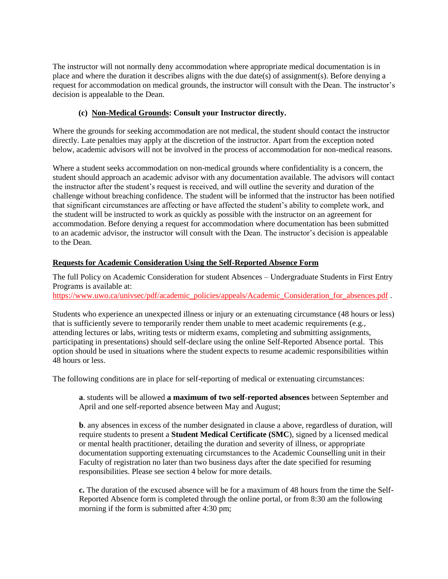The instructor will not normally deny accommodation where appropriate medical documentation is in place and where the duration it describes aligns with the due date(s) of assignment(s). Before denying a request for accommodation on medical grounds, the instructor will consult with the Dean. The instructor's decision is appealable to the Dean.

## **(c) Non-Medical Grounds: Consult your Instructor directly.**

Where the grounds for seeking accommodation are not medical, the student should contact the instructor directly. Late penalties may apply at the discretion of the instructor. Apart from the exception noted below, academic advisors will not be involved in the process of accommodation for non-medical reasons.

Where a student seeks accommodation on non-medical grounds where confidentiality is a concern, the student should approach an academic advisor with any documentation available. The advisors will contact the instructor after the student's request is received, and will outline the severity and duration of the challenge without breaching confidence. The student will be informed that the instructor has been notified that significant circumstances are affecting or have affected the student's ability to complete work, and the student will be instructed to work as quickly as possible with the instructor on an agreement for accommodation. Before denying a request for accommodation where documentation has been submitted to an academic advisor, the instructor will consult with the Dean. The instructor's decision is appealable to the Dean.

### **Requests for Academic Consideration Using the Self-Reported Absence Form**

The full Policy on Academic Consideration for student Absences – Undergraduate Students in First Entry Programs is available at:

[https://www.uwo.ca/univsec/pdf/academic\\_policies/appeals/Academic\\_Consideration\\_for\\_absences.pdf](https://www.uwo.ca/univsec/pdf/academic_policies/appeals/Academic_Consideration_for_absences.pdf) .

Students who experience an unexpected illness or injury or an extenuating circumstance (48 hours or less) that is sufficiently severe to temporarily render them unable to meet academic requirements (e.g., attending lectures or labs, writing tests or midterm exams, completing and submitting assignments, participating in presentations) should self-declare using the online Self-Reported Absence portal. This option should be used in situations where the student expects to resume academic responsibilities within 48 hours or less.

The following conditions are in place for self-reporting of medical or extenuating circumstances:

**a**. students will be allowed **a maximum of two self-reported absences** between September and April and one self-reported absence between May and August;

**b**. any absences in excess of the number designated in clause a above, regardless of duration, will require students to present a **Student Medical Certificate (SMC**), signed by a licensed medical or mental health practitioner, detailing the duration and severity of illness, or appropriate documentation supporting extenuating circumstances to the Academic Counselling unit in their Faculty of registration no later than two business days after the date specified for resuming responsibilities. Please see section 4 below for more details.

**c.** The duration of the excused absence will be for a maximum of 48 hours from the time the Self-Reported Absence form is completed through the online portal, or from 8:30 am the following morning if the form is submitted after 4:30 pm;